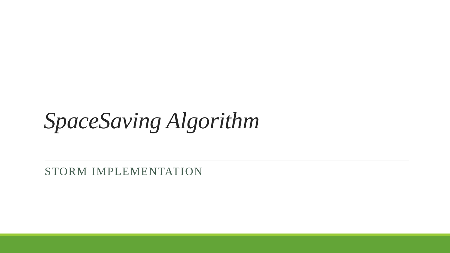*SpaceSaving Algorithm*

STORM IMPLEMENTATION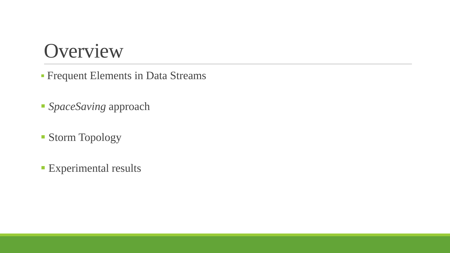#### Overview

- Frequent Elements in Data Streams
- *SpaceSaving* approach
- Storm Topology
- **Experimental results**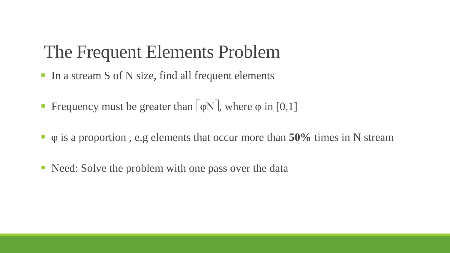#### The Frequent Elements Problem

- In a stream S of N size, find all frequent elements
- **Fi** Frequency must be greater than  $\lceil \phi N \rceil$ , where  $\phi$  in [0,1]
- φ is a proportion , e.g elements that occur more than **50%** times in N stream
- Need: Solve the problem with one pass over the data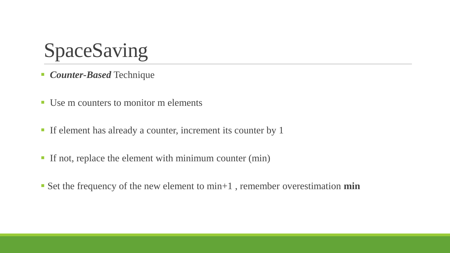

- *Counter-Based* Technique
- Use m counters to monitor m elements
- If element has already a counter, increment its counter by 1
- If not, replace the element with minimum counter (min)
- Set the frequency of the new element to min+1 , remember overestimation **min**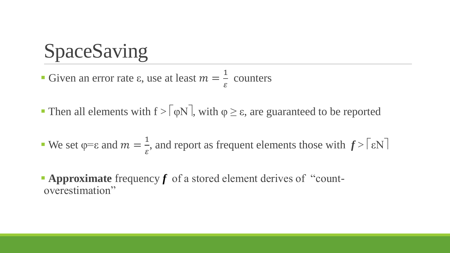SpaceSaving

Given an error rate  $\varepsilon$ , use at least  $m =$ 1  $\mathcal{E}_{\mathcal{E}}$ counters

- **Then all elements with f** >  $\lceil \phi N \rceil$ , with  $\phi \ge \varepsilon$ , are guaranteed to be reported
- We set  $\varphi = \varepsilon$  and  $m =$ 1  $\mathcal{E}$ , and report as frequent elements those with  $f > |\varepsilon N|$
- **Approximate** frequency f of a stored element derives of "countoverestimation"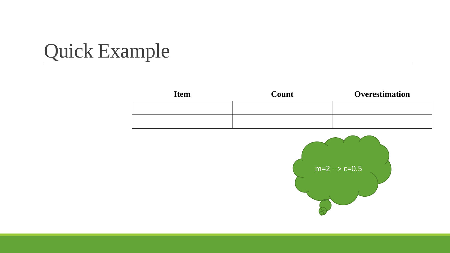| <b>Item</b> | Count | <b>Overestimation</b> |
|-------------|-------|-----------------------|
|             |       |                       |
|             |       |                       |

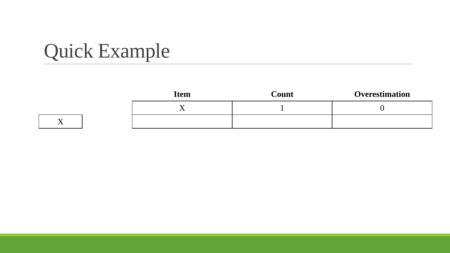| <b>Item</b> | Count | <b>Overestimation</b> |
|-------------|-------|-----------------------|
|             |       |                       |
|             |       |                       |

X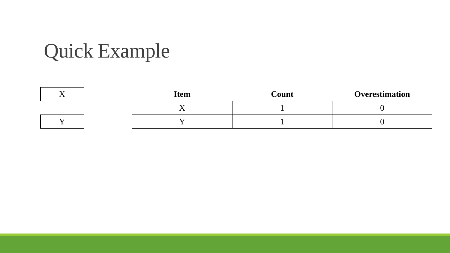|  | <b>Item</b> | Count | Overestimation |
|--|-------------|-------|----------------|
|  |             |       |                |
|  |             |       |                |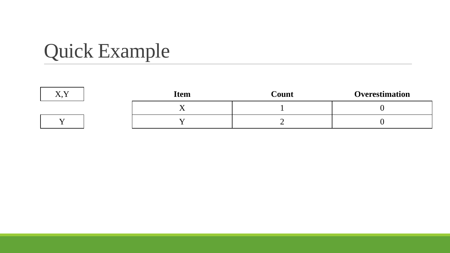| 37 37<br>$\lambda$ , $\lambda$ | <b>Item</b> | Count | <b>Overestimation</b> |
|--------------------------------|-------------|-------|-----------------------|
|                                |             |       |                       |
|                                |             |       |                       |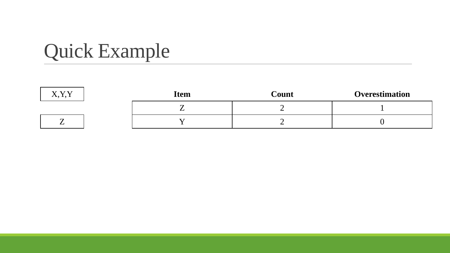| $\mathbf{X} \mathcal{I} \mathbf{X} \mathcal{I}$<br>$\Lambda$ , $\Lambda$ , $\Lambda$ | <b>Item</b> | Count | <b>Overestimation</b> |
|--------------------------------------------------------------------------------------|-------------|-------|-----------------------|
|                                                                                      |             |       |                       |
| –                                                                                    |             |       |                       |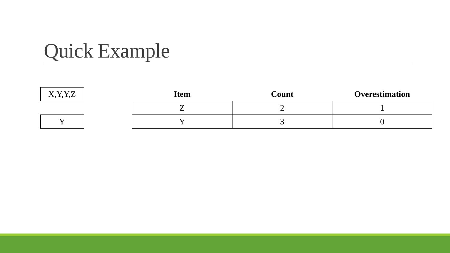| VVI7<br>$\ddot{\phantom{0}}$<br>$\Lambda$ , $\Lambda$ , $\Lambda$ | <b>Item</b> | Count | Overestimation |
|-------------------------------------------------------------------|-------------|-------|----------------|
|                                                                   |             |       |                |
|                                                                   |             |       |                |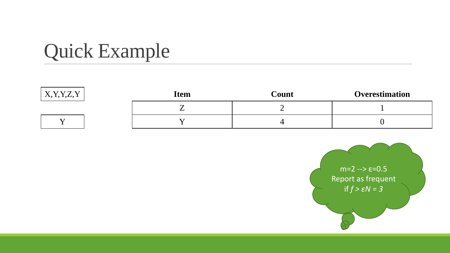| <b>YVV7</b><br>$\Lambda$ , I, I, $L$ , I | <b>Item</b> | Count | <b>Overestimation</b> |
|------------------------------------------|-------------|-------|-----------------------|
|                                          |             |       |                       |
|                                          |             |       |                       |

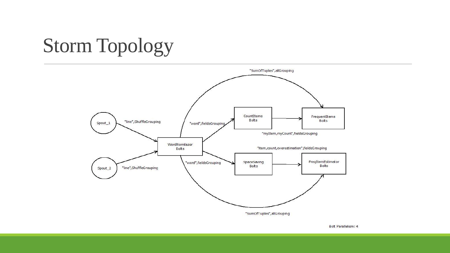# Storm Topology



Bolt Parallelism: 4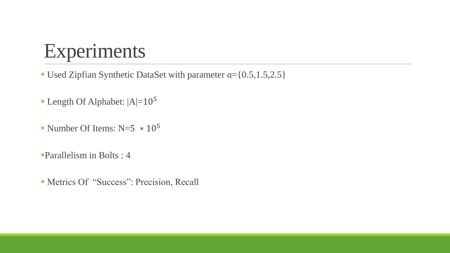#### Experiments

Used Zipfian Synthetic DataSet with parameter  $\alpha = \{0.5, 1.5, 2.5\}$ 

- **Length Of Alphabet:**  $|A|=10^5$
- Number Of Items:  $N=5 * 10^5$
- Parallelism in Bolts : 4
- Metrics Of "Success": Precision, Recall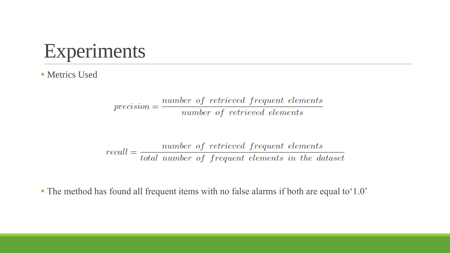

**Metrics Used** 

 $precision = \frac{number\ of\ retrieved\ frequent\ elements}{number\ of\ retrieved\ elements}$ 

 $recall = \frac{number\ of\ retrieved\ frequent\ elements}{total\ number\ of\ frequent\ elements\ in\ the\ dataset}$ 

The method has found all frequent items with no false alarms if both are equal to'1.0'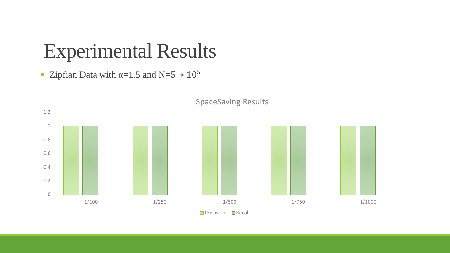#### Experimental Results

■ Zipfian Data with  $\alpha=1.5$  and N=5  $*10^5$ 



**Precision Recall**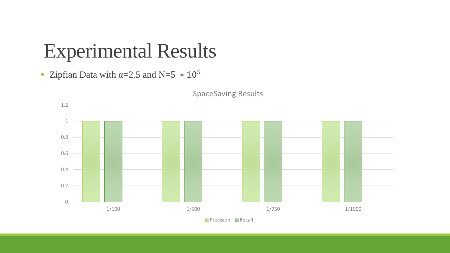#### Experimental Results

■ Zipfian Data with  $\alpha=2.5$  and N=5  $*10^5$